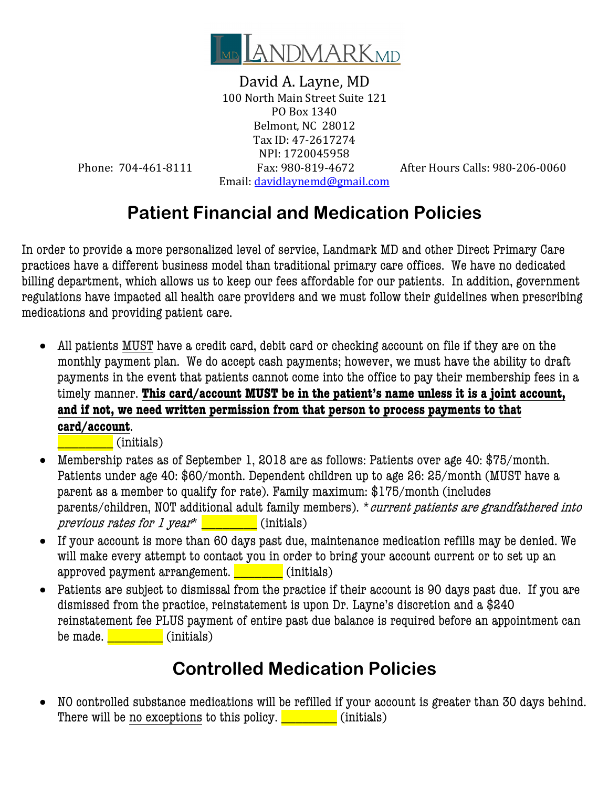

David A. Layne, MD 100 North Main Street Suite 121 PO Box 1340 Belmont, NC 28012 Tax ID: 47-2617274 NPI: 1720045958 Phone: 704-461-8111 Fax: 980-819-4672 After Hours Calls: 980-206-0060 Email: davidlaynemd@gmail.com

## **Patient Financial and Medication Policies**

In order to provide a more personalized level of service, Landmark MD and other Direct Primary Care practices have a different business model than traditional primary care offices. We have no dedicated billing department, which allows us to keep our fees affordable for our patients. In addition, government regulations have impacted all health care providers and we must follow their guidelines when prescribing medications and providing patient care.

• All patients MUST have a credit card, debit card or checking account on file if they are on the monthly payment plan. We do accept cash payments; however, we must have the ability to draft payments in the event that patients cannot come into the office to pay their membership fees in a timely manner. **This card/account MUST be in the patient's name unless it is a joint account, and if not, we need written permission from that person to process payments to that card/account**.

\_\_\_\_\_\_\_\_ (initials)

- Membership rates as of September 1, 2018 are as follows: Patients over age 40: \$75/month. Patients under age 40: \$60/month. Dependent children up to age 26: 25/month (MUST have a parent as a member to qualify for rate). Family maximum: \$175/month (includes parents/children, NOT additional adult family members). *\*current patients are grandfathered into* previous rates for 1 year<sup>\*</sup>  $\Box$  (initials)
- If your account is more than 60 days past due, maintenance medication refills may be denied. We will make every attempt to contact you in order to bring your account current or to set up an approved payment arrangement. \_\_\_\_\_\_\_\_\_ (initials)
- Patients are subject to dismissal from the practice if their account is 90 days past due. If you are dismissed from the practice, reinstatement is upon Dr. Layne's discretion and a \$240 reinstatement fee PLUS payment of entire past due balance is required before an appointment can be made.  $\begin{bmatrix} \cdot & \cdot & \cdot \\ \cdot & \cdot & \cdot \\ \cdot & \cdot & \cdot \end{bmatrix}$  (initials)

## **Controlled Medication Policies**

• NO controlled substance medications will be refilled if your account is greater than 30 days behind. There will be no exceptions to this policy.  $\Box$  (initials)